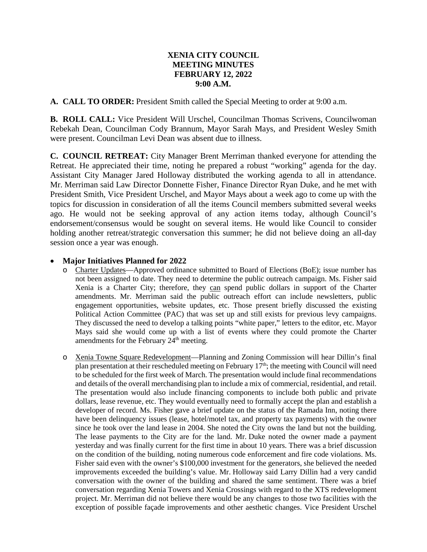## **XENIA CITY COUNCIL MEETING MINUTES FEBRUARY 12, 2022 9:00 A.M.**

**A. CALL TO ORDER:** President Smith called the Special Meeting to order at 9:00 a.m.

**B. ROLL CALL:** Vice President Will Urschel, Councilman Thomas Scrivens, Councilwoman Rebekah Dean, Councilman Cody Brannum, Mayor Sarah Mays, and President Wesley Smith were present. Councilman Levi Dean was absent due to illness.

**C. COUNCIL RETREAT:** City Manager Brent Merriman thanked everyone for attending the Retreat. He appreciated their time, noting he prepared a robust "working" agenda for the day. Assistant City Manager Jared Holloway distributed the working agenda to all in attendance. Mr. Merriman said Law Director Donnette Fisher, Finance Director Ryan Duke, and he met with President Smith, Vice President Urschel, and Mayor Mays about a week ago to come up with the topics for discussion in consideration of all the items Council members submitted several weeks ago. He would not be seeking approval of any action items today, although Council's endorsement/consensus would be sought on several items. He would like Council to consider holding another retreat/strategic conversation this summer; he did not believe doing an all-day session once a year was enough.

#### • **Major Initiatives Planned for 2022**

- Charter Updates—Approved ordinance submitted to Board of Elections (BoE); issue number has not been assigned to date. They need to determine the public outreach campaign. Ms. Fisher said Xenia is a Charter City; therefore, they can spend public dollars in support of the Charter amendments. Mr. Merriman said the public outreach effort can include newsletters, public engagement opportunities, website updates, etc. Those present briefly discussed the existing Political Action Committee (PAC) that was set up and still exists for previous levy campaigns. They discussed the need to develop a talking points "white paper," letters to the editor, etc. Mayor Mays said she would come up with a list of events where they could promote the Charter amendments for the February  $24<sup>th</sup>$  meeting.
- o Xenia Towne Square Redevelopment—Planning and Zoning Commission will hear Dillin's final plan presentation at their rescheduled meeting on February 17<sup>th</sup>; the meeting with Council will need to be scheduled for the first week of March. The presentation would include final recommendations and details of the overall merchandising plan to include a mix of commercial, residential, and retail. The presentation would also include financing components to include both public and private dollars, lease revenue, etc. They would eventually need to formally accept the plan and establish a developer of record. Ms. Fisher gave a brief update on the status of the Ramada Inn, noting there have been delinquency issues (lease, hotel/motel tax, and property tax payments) with the owner since he took over the land lease in 2004. She noted the City owns the land but not the building. The lease payments to the City are for the land. Mr. Duke noted the owner made a payment yesterday and was finally current for the first time in about 10 years. There was a brief discussion on the condition of the building, noting numerous code enforcement and fire code violations. Ms. Fisher said even with the owner's \$100,000 investment for the generators, she believed the needed improvements exceeded the building's value. Mr. Holloway said Larry Dillin had a very candid conversation with the owner of the building and shared the same sentiment. There was a brief conversation regarding Xenia Towers and Xenia Crossings with regard to the XTS redevelopment project. Mr. Merriman did not believe there would be any changes to those two facilities with the exception of possible façade improvements and other aesthetic changes. Vice President Urschel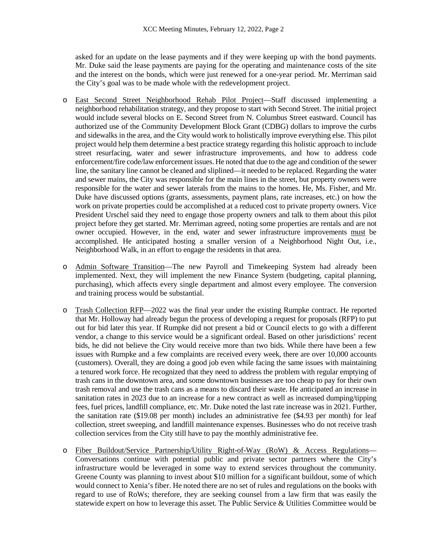asked for an update on the lease payments and if they were keeping up with the bond payments. Mr. Duke said the lease payments are paying for the operating and maintenance costs of the site and the interest on the bonds, which were just renewed for a one-year period. Mr. Merriman said the City's goal was to be made whole with the redevelopment project.

- o East Second Street Neighborhood Rehab Pilot Project—Staff discussed implementing a neighborhood rehabilitation strategy, and they propose to start with Second Street. The initial project would include several blocks on E. Second Street from N. Columbus Street eastward. Council has authorized use of the Community Development Block Grant (CDBG) dollars to improve the curbs and sidewalks in the area, and the City would work to holistically improve everything else. This pilot project would help them determine a best practice strategy regarding this holistic approach to include street resurfacing, water and sewer infrastructure improvements, and how to address code enforcement/fire code/law enforcement issues. He noted that due to the age and condition of the sewer line, the sanitary line cannot be cleaned and sliplined—it needed to be replaced. Regarding the water and sewer mains, the City was responsible for the main lines in the street, but property owners were responsible for the water and sewer laterals from the mains to the homes. He, Ms. Fisher, and Mr. Duke have discussed options (grants, assessments, payment plans, rate increases, etc.) on how the work on private properties could be accomplished at a reduced cost to private property owners. Vice President Urschel said they need to engage those property owners and talk to them about this pilot project before they get started. Mr. Merriman agreed, noting some properties are rentals and are not owner occupied. However, in the end, water and sewer infrastructure improvements must be accomplished. He anticipated hosting a smaller version of a Neighborhood Night Out, i.e., Neighborhood Walk, in an effort to engage the residents in that area.
- o Admin Software Transition—The new Payroll and Timekeeping System had already been implemented. Next, they will implement the new Finance System (budgeting, capital planning, purchasing), which affects every single department and almost every employee. The conversion and training process would be substantial.
- o Trash Collection RFP—2022 was the final year under the existing Rumpke contract. He reported that Mr. Holloway had already begun the process of developing a request for proposals (RFP) to put out for bid later this year. If Rumpke did not present a bid or Council elects to go with a different vendor, a change to this service would be a significant ordeal. Based on other jurisdictions' recent bids, he did not believe the City would receive more than two bids. While there have been a few issues with Rumpke and a few complaints are received every week, there are over 10,000 accounts (customers). Overall, they are doing a good job even while facing the same issues with maintaining a tenured work force. He recognized that they need to address the problem with regular emptying of trash cans in the downtown area, and some downtown businesses are too cheap to pay for their own trash removal and use the trash cans as a means to discard their waste. He anticipated an increase in sanitation rates in 2023 due to an increase for a new contract as well as increased dumping/tipping fees, fuel prices, landfill compliance, etc. Mr. Duke noted the last rate increase was in 2021. Further, the sanitation rate (\$19.08 per month) includes an administrative fee (\$4.93 per month) for leaf collection, street sweeping, and landfill maintenance expenses. Businesses who do not receive trash collection services from the City still have to pay the monthly administrative fee.
- o Fiber Buildout/Service Partnership/Utility Right-of-Way (RoW) & Access Regulations— Conversations continue with potential public and private sector partners where the City's infrastructure would be leveraged in some way to extend services throughout the community. Greene County was planning to invest about \$10 million for a significant buildout, some of which would connect to Xenia's fiber. He noted there are no set of rules and regulations on the books with regard to use of RoWs; therefore, they are seeking counsel from a law firm that was easily the statewide expert on how to leverage this asset. The Public Service & Utilities Committee would be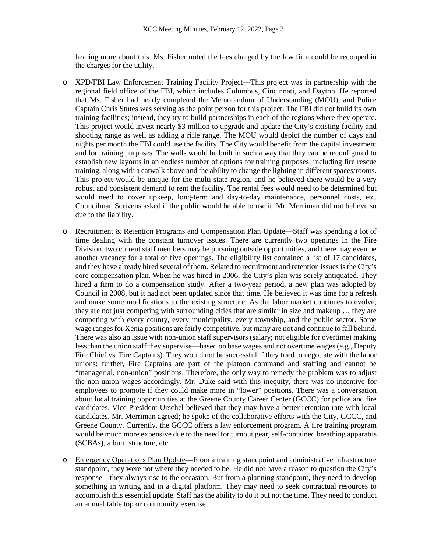hearing more about this. Ms. Fisher noted the fees charged by the law firm could be recouped in the charges for the utility.

- o XPD/FBI Law Enforcement Training Facility Project—This project was in partnership with the regional field office of the FBI, which includes Columbus, Cincinnati, and Dayton. He reported that Ms. Fisher had nearly completed the Memorandum of Understanding (MOU), and Police Captain Chris Stutes was serving as the point person for this project. The FBI did not build its own training facilities; instead, they try to build partnerships in each of the regions where they operate. This project would invest nearly \$3 million to upgrade and update the City's existing facility and shooting range as well as adding a rifle range. The MOU would depict the number of days and nights per month the FBI could use the facility. The City would benefit from the capital investment and for training purposes. The walls would be built in such a way that they can be reconfigured to establish new layouts in an endless number of options for training purposes, including fire rescue training, along with a catwalk above and the ability to change the lighting in different spaces/rooms. This project would be unique for the multi-state region, and he believed there would be a very robust and consistent demand to rent the facility. The rental fees would need to be determined but would need to cover upkeep, long-term and day-to-day maintenance, personnel costs, etc. Councilman Scrivens asked if the public would be able to use it. Mr. Merriman did not believe so due to the liability.
- o Recruitment & Retention Programs and Compensation Plan Update—Staff was spending a lot of time dealing with the constant turnover issues. There are currently two openings in the Fire Division, two current staff members may be pursuing outside opportunities, and there may even be another vacancy for a total of five openings. The eligibility list contained a list of 17 candidates, and they have already hired several of them. Related to recruitment and retention issues is the City's core compensation plan. When he was hired in 2006, the City's plan was sorely antiquated. They hired a firm to do a compensation study. After a two-year period, a new plan was adopted by Council in 2008, but it had not been updated since that time. He believed it was time for a refresh and make some modifications to the existing structure. As the labor market continues to evolve, they are not just competing with surrounding cities that are similar in size and makeup … they are competing with every county, every municipality, every township, and the public sector. Some wage ranges for Xenia positions are fairly competitive, but many are not and continue to fall behind. There was also an issue with non-union staff supervisors (salary; not eligible for overtime) making less than the union staff they supervise—based on base wages and not overtime wages (e.g., Deputy Fire Chief vs. Fire Captains). They would not be successful if they tried to negotiate with the labor unions; further, Fire Captains are part of the platoon command and staffing and cannot be "managerial, non-union" positions. Therefore, the only way to remedy the problem was to adjust the non-union wages accordingly. Mr. Duke said with this inequity, there was no incentive for employees to promote if they could make more in "lower" positions. There was a conversation about local training opportunities at the Greene County Career Center (GCCC) for police and fire candidates. Vice President Urschel believed that they may have a better retention rate with local candidates. Mr. Merriman agreed; he spoke of the collaborative efforts with the City, GCCC, and Greene County. Currently, the GCCC offers a law enforcement program. A fire training program would be much more expensive due to the need for turnout gear, self-contained breathing apparatus (SCBAs), a burn structure, etc.
- o Emergency Operations Plan Update—From a training standpoint and administrative infrastructure standpoint, they were not where they needed to be. He did not have a reason to question the City's response—they always rise to the occasion. But from a planning standpoint, they need to develop something in writing and in a digital platform. They may need to seek contractual resources to accomplish this essential update. Staff has the ability to do it but not the time. They need to conduct an annual table top or community exercise.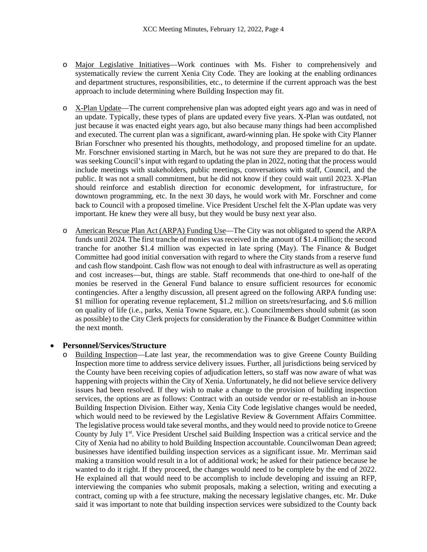- o Major Legislative Initiatives—Work continues with Ms. Fisher to comprehensively and systematically review the current Xenia City Code. They are looking at the enabling ordinances and department structures, responsibilities, etc., to determine if the current approach was the best approach to include determining where Building Inspection may fit.
- o X-Plan Update—The current comprehensive plan was adopted eight years ago and was in need of an update. Typically, these types of plans are updated every five years. X-Plan was outdated, not just because it was enacted eight years ago, but also because many things had been accomplished and executed. The current plan was a significant, award-winning plan. He spoke with City Planner Brian Forschner who presented his thoughts, methodology, and proposed timeline for an update. Mr. Forschner envisioned starting in March, but he was not sure they are prepared to do that. He was seeking Council's input with regard to updating the plan in 2022, noting that the process would include meetings with stakeholders, public meetings, conversations with staff, Council, and the public. It was not a small commitment, but he did not know if they could wait until 2023. X-Plan should reinforce and establish direction for economic development, for infrastructure, for downtown programming, etc. In the next 30 days, he would work with Mr. Forschner and come back to Council with a proposed timeline. Vice President Urschel felt the X-Plan update was very important. He knew they were all busy, but they would be busy next year also.
- o American Rescue Plan Act (ARPA) Funding Use—The City was not obligated to spend the ARPA funds until 2024. The first tranche of monies was received in the amount of \$1.4 million; the second tranche for another \$1.4 million was expected in late spring (May). The Finance & Budget Committee had good initial conversation with regard to where the City stands from a reserve fund and cash flow standpoint. Cash flow was not enough to deal with infrastructure as well as operating and cost increases—but, things are stable. Staff recommends that one-third to one-half of the monies be reserved in the General Fund balance to ensure sufficient resources for economic contingencies. After a lengthy discussion, all present agreed on the following ARPA funding use: \$1 million for operating revenue replacement, \$1.2 million on streets/resurfacing, and \$.6 million on quality of life (i.e., parks, Xenia Towne Square, etc.). Councilmembers should submit (as soon as possible) to the City Clerk projects for consideration by the Finance & Budget Committee within the next month.

#### • **Personnel/Services/Structure**

o Building Inspection—Late last year, the recommendation was to give Greene County Building Inspection more time to address service delivery issues. Further, all jurisdictions being serviced by the County have been receiving copies of adjudication letters, so staff was now aware of what was happening with projects within the City of Xenia. Unfortunately, he did not believe service delivery issues had been resolved. If they wish to make a change to the provision of building inspection services, the options are as follows: Contract with an outside vendor or re-establish an in-house Building Inspection Division. Either way, Xenia City Code legislative changes would be needed, which would need to be reviewed by the Legislative Review & Government Affairs Committee. The legislative process would take several months, and they would need to provide notice to Greene County by July 1<sup>st</sup>. Vice President Urschel said Building Inspection was a critical service and the City of Xenia had no ability to hold Building Inspection accountable. Councilwoman Dean agreed; businesses have identified building inspection services as a significant issue. Mr. Merriman said making a transition would result in a lot of additional work; he asked for their patience because he wanted to do it right. If they proceed, the changes would need to be complete by the end of 2022. He explained all that would need to be accomplish to include developing and issuing an RFP, interviewing the companies who submit proposals, making a selection, writing and executing a contract, coming up with a fee structure, making the necessary legislative changes, etc. Mr. Duke said it was important to note that building inspection services were subsidized to the County back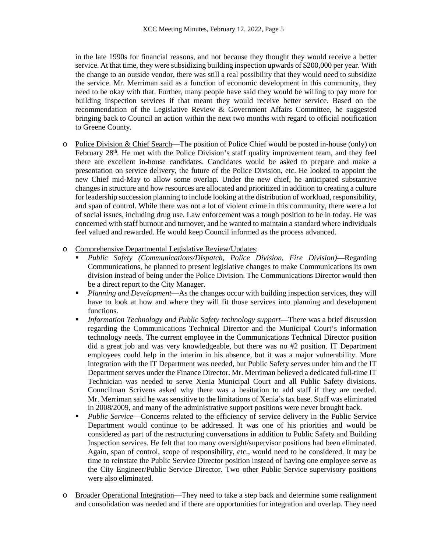in the late 1990s for financial reasons, and not because they thought they would receive a better service. At that time, they were subsidizing building inspection upwards of \$200,000 per year. With the change to an outside vendor, there was still a real possibility that they would need to subsidize the service. Mr. Merriman said as a function of economic development in this community, they need to be okay with that. Further, many people have said they would be willing to pay more for building inspection services if that meant they would receive better service. Based on the recommendation of the Legislative Review & Government Affairs Committee, he suggested bringing back to Council an action within the next two months with regard to official notification to Greene County.

- o Police Division & Chief Search—The position of Police Chief would be posted in-house (only) on February  $28<sup>th</sup>$ . He met with the Police Division's staff quality improvement team, and they feel there are excellent in-house candidates. Candidates would be asked to prepare and make a presentation on service delivery, the future of the Police Division, etc. He looked to appoint the new Chief mid-May to allow some overlap. Under the new chief, he anticipated substantive changes in structure and how resources are allocated and prioritized in addition to creating a culture for leadership succession planning to include looking at the distribution of workload, responsibility, and span of control. While there was not a lot of violent crime in this community, there were a lot of social issues, including drug use. Law enforcement was a tough position to be in today. He was concerned with staff burnout and turnover, and he wanted to maintain a standard where individuals feel valued and rewarded. He would keep Council informed as the process advanced.
- o Comprehensive Departmental Legislative Review/Updates:
	- *Public Safety (Communications/Dispatch, Police Division, Fire Division)*—Regarding Communications, he planned to present legislative changes to make Communications its own division instead of being under the Police Division. The Communications Director would then be a direct report to the City Manager.
	- *Planning and Development*—As the changes occur with building inspection services, they will have to look at how and where they will fit those services into planning and development functions.
	- *Information Technology and Public Safety technology support*—There was a brief discussion regarding the Communications Technical Director and the Municipal Court's information technology needs. The current employee in the Communications Technical Director position did a great job and was very knowledgeable, but there was no #2 position. IT Department employees could help in the interim in his absence, but it was a major vulnerability. More integration with the IT Department was needed, but Public Safety serves under him and the IT Department serves under the Finance Director. Mr. Merriman believed a dedicated full-time IT Technician was needed to serve Xenia Municipal Court and all Public Safety divisions. Councilman Scrivens asked why there was a hesitation to add staff if they are needed. Mr. Merriman said he was sensitive to the limitations of Xenia's tax base. Staff was eliminated in 2008/2009, and many of the administrative support positions were never brought back.
	- **Public Service—Concerns related to the efficiency of service delivery in the Public Service** Department would continue to be addressed. It was one of his priorities and would be considered as part of the restructuring conversations in addition to Public Safety and Building Inspection services. He felt that too many oversight/supervisor positions had been eliminated. Again, span of control, scope of responsibility, etc., would need to be considered. It may be time to reinstate the Public Service Director position instead of having one employee serve as the City Engineer/Public Service Director. Two other Public Service supervisory positions were also eliminated.
- o Broader Operational Integration—They need to take a step back and determine some realignment and consolidation was needed and if there are opportunities for integration and overlap. They need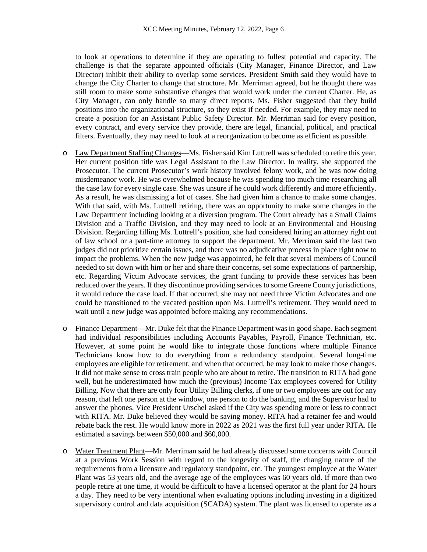to look at operations to determine if they are operating to fullest potential and capacity. The challenge is that the separate appointed officials (City Manager, Finance Director, and Law Director) inhibit their ability to overlap some services. President Smith said they would have to change the City Charter to change that structure. Mr. Merriman agreed, but he thought there was still room to make some substantive changes that would work under the current Charter. He, as City Manager, can only handle so many direct reports. Ms. Fisher suggested that they build positions into the organizational structure, so they exist if needed. For example, they may need to create a position for an Assistant Public Safety Director. Mr. Merriman said for every position, every contract, and every service they provide, there are legal, financial, political, and practical filters. Eventually, they may need to look at a reorganization to become as efficient as possible.

- o Law Department Staffing Changes—Ms. Fisher said Kim Luttrell was scheduled to retire this year. Her current position title was Legal Assistant to the Law Director. In reality, she supported the Prosecutor. The current Prosecutor's work history involved felony work, and he was now doing misdemeanor work. He was overwhelmed because he was spending too much time researching all the case law for every single case. She was unsure if he could work differently and more efficiently. As a result, he was dismissing a lot of cases. She had given him a chance to make some changes. With that said, with Ms. Luttrell retiring, there was an opportunity to make some changes in the Law Department including looking at a diversion program. The Court already has a Small Claims Division and a Traffic Division, and they may need to look at an Environmental and Housing Division. Regarding filling Ms. Luttrell's position, she had considered hiring an attorney right out of law school or a part-time attorney to support the department. Mr. Merriman said the last two judges did not prioritize certain issues, and there was no adjudicative process in place right now to impact the problems. When the new judge was appointed, he felt that several members of Council needed to sit down with him or her and share their concerns, set some expectations of partnership, etc. Regarding Victim Advocate services, the grant funding to provide these services has been reduced over the years. If they discontinue providing services to some Greene County jurisdictions, it would reduce the case load. If that occurred, she may not need three Victim Advocates and one could be transitioned to the vacated position upon Ms. Luttrell's retirement. They would need to wait until a new judge was appointed before making any recommendations.
- o Finance Department—Mr. Duke felt that the Finance Department was in good shape. Each segment had individual responsibilities including Accounts Payables, Payroll, Finance Technician, etc. However, at some point he would like to integrate those functions where multiple Finance Technicians know how to do everything from a redundancy standpoint. Several long-time employees are eligible for retirement, and when that occurred, he may look to make those changes. It did not make sense to cross train people who are about to retire. The transition to RITA had gone well, but he underestimated how much the (previous) Income Tax employees covered for Utility Billing. Now that there are only four Utility Billing clerks, if one or two employees are out for any reason, that left one person at the window, one person to do the banking, and the Supervisor had to answer the phones. Vice President Urschel asked if the City was spending more or less to contract with RITA. Mr. Duke believed they would be saving money. RITA had a retainer fee and would rebate back the rest. He would know more in 2022 as 2021 was the first full year under RITA. He estimated a savings between \$50,000 and \$60,000.
- o Water Treatment Plant—Mr. Merriman said he had already discussed some concerns with Council at a previous Work Session with regard to the longevity of staff, the changing nature of the requirements from a licensure and regulatory standpoint, etc. The youngest employee at the Water Plant was 53 years old, and the average age of the employees was 60 years old. If more than two people retire at one time, it would be difficult to have a licensed operator at the plant for 24 hours a day. They need to be very intentional when evaluating options including investing in a digitized supervisory control and data acquisition (SCADA) system. The plant was licensed to operate as a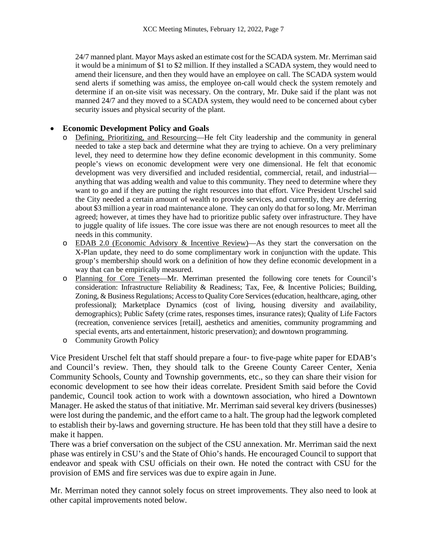24/7 manned plant. Mayor Mays asked an estimate cost for the SCADA system. Mr. Merriman said it would be a minimum of \$1 to \$2 million. If they installed a SCADA system, they would need to amend their licensure, and then they would have an employee on call. The SCADA system would send alerts if something was amiss, the employee on-call would check the system remotely and determine if an on-site visit was necessary. On the contrary, Mr. Duke said if the plant was not manned 24/7 and they moved to a SCADA system, they would need to be concerned about cyber security issues and physical security of the plant.

## • **Economic Development Policy and Goals**

- Defining, Prioritizing, and Resourcing—He felt City leadership and the community in general needed to take a step back and determine what they are trying to achieve. On a very preliminary level, they need to determine how they define economic development in this community. Some people's views on economic development were very one dimensional. He felt that economic development was very diversified and included residential, commercial, retail, and industrial anything that was adding wealth and value to this community. They need to determine where they want to go and if they are putting the right resources into that effort. Vice President Urschel said the City needed a certain amount of wealth to provide services, and currently, they are deferring about \$3 million a year in road maintenance alone. They can only do that for so long. Mr. Merriman agreed; however, at times they have had to prioritize public safety over infrastructure. They have to juggle quality of life issues. The core issue was there are not enough resources to meet all the needs in this community.
- o EDAB 2.0 (Economic Advisory & Incentive Review)—As they start the conversation on the X-Plan update, they need to do some complimentary work in conjunction with the update. This group's membership should work on a definition of how they define economic development in a way that can be empirically measured.
- o Planning for Core Tenets—Mr. Merriman presented the following core tenets for Council's consideration: Infrastructure Reliability & Readiness; Tax, Fee, & Incentive Policies; Building, Zoning, & Business Regulations; Access to Quality Core Services (education, healthcare, aging, other professional); Marketplace Dynamics (cost of living, housing diversity and availability, demographics); Public Safety (crime rates, responses times, insurance rates); Quality of Life Factors (recreation, convenience services [retail], aesthetics and amenities, community programming and special events, arts and entertainment, historic preservation); and downtown programming.
- o Community Growth Policy

Vice President Urschel felt that staff should prepare a four- to five-page white paper for EDAB's and Council's review. Then, they should talk to the Greene County Career Center, Xenia Community Schools, County and Township governments, etc., so they can share their vision for economic development to see how their ideas correlate. President Smith said before the Covid pandemic, Council took action to work with a downtown association, who hired a Downtown Manager. He asked the status of that initiative. Mr. Merriman said several key drivers (businesses) were lost during the pandemic, and the effort came to a halt. The group had the legwork completed to establish their by-laws and governing structure. He has been told that they still have a desire to make it happen.

There was a brief conversation on the subject of the CSU annexation. Mr. Merriman said the next phase was entirely in CSU's and the State of Ohio's hands. He encouraged Council to support that endeavor and speak with CSU officials on their own. He noted the contract with CSU for the provision of EMS and fire services was due to expire again in June.

Mr. Merriman noted they cannot solely focus on street improvements. They also need to look at other capital improvements noted below.